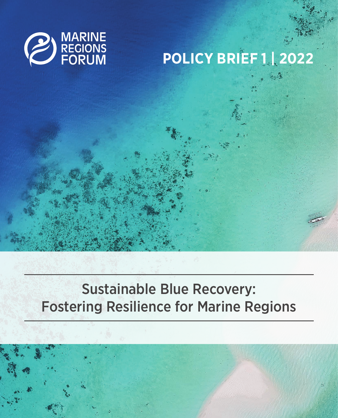

# **POLICY BRIEF 1 | 2022**

## Sustainable Blue Recovery: Fostering Resilience for Marine Regions

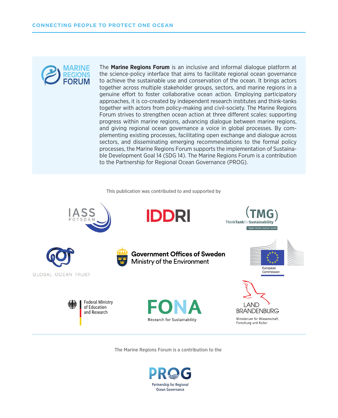

The **[Marine Regions Forum](https://www.prog-ocean.org/marine-regions-forum/)** is an inclusive and informal dialogue platform at the science-policy interface that aims to facilitate regional ocean governance to achieve the sustainable use and conservation of the ocean. It brings actors together across multiple stakeholder groups, sectors, and marine regions in a genuine effort to foster collaborative ocean action. Employing participatory approaches, it is co-created by independent research institutes and think-tanks together with actors from policy-making and civil-society. The Marine Regions Forum strives to strengthen ocean action at three different scales: supporting progress within marine regions, advancing dialogue between marine regions, and giving regional ocean governance a voice in global processes. By complementing existing processes, facilitating open exchange and dialogue across sectors, and disseminating emerging recommendations to the formal policy processes, the Marine Regions Forum supports the implementation of Sustainable Development Goal 14 (SDG 14). The Marine Regions Forum is a contribution to the Partnership for Regional Ocean Governance (PROG).

#### This publication was contributed to and supported by



The Marine Regions Forum is a contribution to the

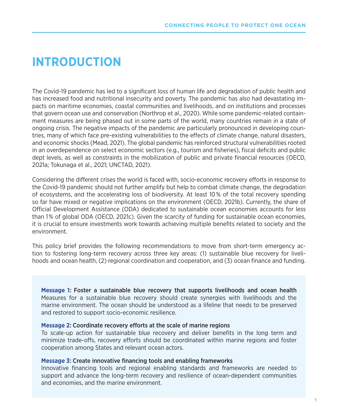### **INTRODUCTION**

The Covid-19 pandemic has led to a significant loss of human life and degradation of public health and has increased food and nutritional insecurity and poverty. The pandemic has also had devastating impacts on maritime economies, coastal communities and livelihoods, and on institutions and processes that govern ocean use and conservation (Northrop et al., 2020). While some pandemic-related containment measures are being phased out in some parts of the world, many countries remain in a state of ongoing crisis. The negative impacts of the pandemic are particularly pronounced in developing countries, many of which face pre-existing vulnerabilities to the effects of climate change, natural disasters, and economic shocks (Mead, 2021). The global pandemic has reinforced structural vulnerabilities rooted in an overdependence on select economic sectors (e.g., tourism and fisheries), fiscal deficits and public dept levels, as well as constraints in the mobilization of public and private financial resources (OECD, 2021a; Tokunaga et al., 2021; UNCTAD, 2021).

Considering the different crises the world is faced with, socio-economic recovery efforts in response to the Covid-19 pandemic should not further amplify but help to combat climate change, the degradation of ecosystems, and the accelerating loss of biodiversity. At least 10 % of the total recovery spending so far have mixed or negative implications on the environment (OECD, 2021b). Currently, the share of Official Development Assistance (ODA) dedicated to sustainable ocean economies accounts for less than 1 % of global ODA (OECD, 2021c). Given the scarcity of funding for sustainable ocean economies, it is crucial to ensure investments work towards achieving multiple benefits related to society and the environment.

This policy brief provides the following recommendations to move from short-term emergency action to fostering long-term recovery across three key areas: (1) sustainable blue recovery for livelihoods and ocean health, (2) regional coordination and cooperation, and (3) ocean finance and funding.

**Message 1:** Foster a sustainable blue recovery that supports livelihoods and ocean health Measures for a sustainable blue recovery should create synergies with livelihoods and the marine environment. The ocean should be understood as a lifeline that needs to be preserved and restored to support socio-economic resilience.

#### **Message 2:** Coordinate recovery efforts at the scale of marine regions

To scale-up action for sustainable blue recovery and deliver benefits in the long term and minimize trade-offs, recovery efforts should be coordinated within marine regions and foster cooperation among States and relevant ocean actors.

#### **Message 3:** Create innovative financing tools and enabling frameworks

Innovative financing tools and regional enabling standards and frameworks are needed to support and advance the long-term recovery and resilience of ocean-dependent communities and economies, and the marine environment.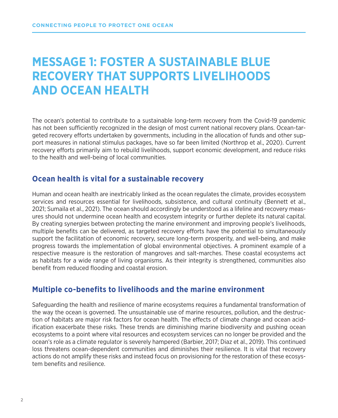### **MESSAGE 1: FOSTER A SUSTAINABLE BLUE RECOVERY THAT SUPPORTS LIVELIHOODS AND OCEAN HEALTH**

The ocean's potential to contribute to a sustainable long-term recovery from the Covid-19 pandemic has not been sufficiently recognized in the design of most current national recovery plans. Ocean-targeted recovery efforts undertaken by governments, including in the allocation of funds and other support measures in national stimulus packages, have so far been limited (Northrop et al., 2020). Current recovery efforts primarily aim to rebuild livelihoods, support economic development, and reduce risks to the health and well-being of local communities.

### **Ocean health is vital for a sustainable recovery**

Human and ocean health are inextricably linked as the ocean regulates the climate, provides ecosystem services and resources essential for livelihoods, subsistence, and cultural continuity (Bennett et al., 2021; Sumaila et al., 2021). The ocean should accordingly be understood as a lifeline and recovery measures should not undermine ocean health and ecosystem integrity or further deplete its natural capital. By creating synergies between protecting the marine environment and improving people's livelihoods, multiple benefits can be delivered, as targeted recovery efforts have the potential to simultaneously support the facilitation of economic recovery, secure long-term prosperity, and well-being, and make progress towards the implementation of global environmental objectives. A prominent example of a respective measure is the restoration of mangroves and salt-marches. These coastal ecosystems act as habitats for a wide range of living organisms. As their integrity is strengthened, communities also benefit from reduced flooding and coastal erosion.

### **Multiple co-benefits to livelihoods and the marine environment**

Safeguarding the health and resilience of marine ecosystems requires a fundamental transformation of the way the ocean is governed. The unsustainable use of marine resources, pollution, and the destruction of habitats are major risk factors for ocean health. The effects of climate change and ocean acidification exacerbate these risks. These trends are diminishing marine biodiversity and pushing ocean ecosystems to a point where vital resources and ecosystem services can no longer be provided and the ocean's role as a climate regulator is severely hampered (Barbier, 2017; Diaz et al., 2019). This continued loss threatens ocean-dependent communities and diminishes their resilience. It is vital that recovery actions do not amplify these risks and instead focus on provisioning for the restoration of these ecosystem benefits and resilience.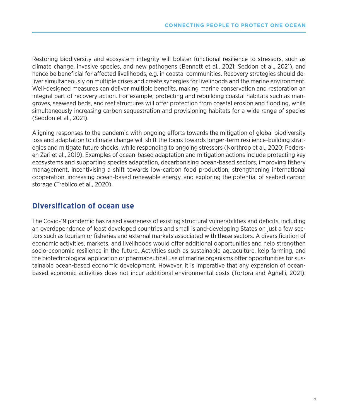Restoring biodiversity and ecosystem integrity will bolster functional resilience to stressors, such as climate change, invasive species, and new pathogens (Bennett et al., 2021; Seddon et al., 2021), and hence be beneficial for affected livelihoods, e.g. in coastal communities. Recovery strategies should deliver simultaneously on multiple crises and create synergies for livelihoods and the marine environment. Well-designed measures can deliver multiple benefits, making marine conservation and restoration an integral part of recovery action. For example, protecting and rebuilding coastal habitats such as mangroves, seaweed beds, and reef structures will offer protection from coastal erosion and flooding, while simultaneously increasing carbon sequestration and provisioning habitats for a wide range of species (Seddon et al., 2021).

Aligning responses to the pandemic with ongoing efforts towards the mitigation of global biodiversity loss and adaptation to climate change will shift the focus towards longer-term resilience-building strategies and mitigate future shocks, while responding to ongoing stressors (Northrop et al., 2020; Pedersen Zari et al., 2019). Examples of ocean-based adaptation and mitigation actions include protecting key ecosystems and supporting species adaptation, decarbonising ocean-based sectors, improving fishery management, incentivising a shift towards low-carbon food production, strengthening international cooperation, increasing ocean-based renewable energy, and exploring the potential of seabed carbon storage (Trebilco et al., 2020).

### **Diversification of ocean use**

The Covid-19 pandemic has raised awareness of existing structural vulnerabilities and deficits, including an overdependence of least developed countries and small island-developing States on just a few sectors such as tourism or fisheries and external markets associated with these sectors. A diversification of economic activities, markets, and livelihoods would offer additional opportunities and help strengthen socio-economic resilience in the future. Activities such as sustainable aquaculture, kelp farming, and the biotechnological application or pharmaceutical use of marine organisms offer opportunities for sustainable ocean-based economic development. However, it is imperative that any expansion of oceanbased economic activities does not incur additional environmental costs (Tortora and Agnelli, 2021).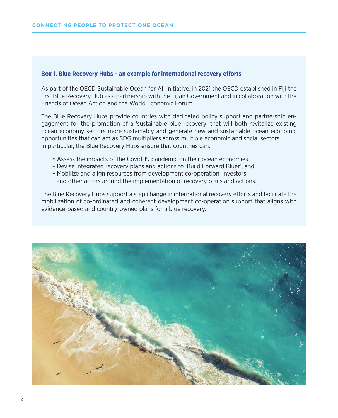#### **Box 1. Blue Recovery Hubs – an example for international recovery efforts**

As part of the OECD Sustainable Ocean for All Initiative, in 2021 the OECD established in Fiji the first Blue Recovery Hub as a partnership with the Fijian Government and in collaboration with the Friends of Ocean Action and the World Economic Forum.

The Blue Recovery Hubs provide countries with dedicated policy support and partnership engagement for the promotion of a 'sustainable blue recovery' that will both revitalize existing ocean economy sectors more sustainably and generate new and sustainable ocean economic opportunities that can act as SDG multipliers across multiple economic and social sectors. In particular, the Blue Recovery Hubs ensure that countries can:

- Assess the impacts of the Covid-19 pandemic on their ocean economies
- Devise integrated recovery plans and actions to 'Build Forward Bluer', and
- Mobilize and align resources from development co-operation, investors, and other actors around the implementation of recovery plans and actions.

The Blue Recovery Hubs support a step change in international recovery efforts and facilitate the mobilization of co-ordinated and coherent development co-operation support that aligns with evidence-based and country-owned plans for a blue recovery.

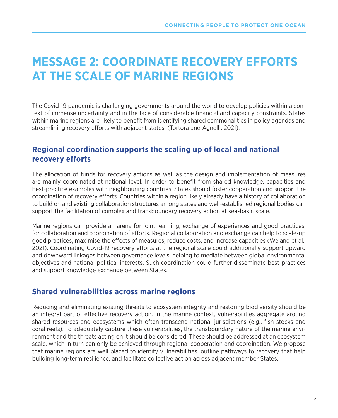### **MESSAGE 2: COORDINATE RECOVERY EFFORTS AT THE SCALE OF MARINE REGIONS**

The Covid-19 pandemic is challenging governments around the world to develop policies within a context of immense uncertainty and in the face of considerable financial and capacity constraints. States within marine regions are likely to benefit from identifying shared commonalities in policy agendas and streamlining recovery efforts with adjacent states. (Tortora and Agnelli, 2021).

### **Regional coordination supports the scaling up of local and national recovery efforts**

The allocation of funds for recovery actions as well as the design and implementation of measures are mainly coordinated at national level. In order to benefit from shared knowledge, capacities and best-practice examples with neighbouring countries, States should foster cooperation and support the coordination of recovery efforts. Countries within a region likely already have a history of collaboration to build on and existing collaboration structures among states and well-established regional bodies can support the facilitation of complex and transboundary recovery action at sea-basin scale.

Marine regions can provide an arena for joint learning, exchange of experiences and good practices, for collaboration and coordination of efforts. Regional collaboration and exchange can help to scale-up good practices, maximise the effects of measures, reduce costs, and increase capacities (Weiand et al., 2021). Coordinating Covid-19 recovery efforts at the regional scale could additionally support upward and downward linkages between governance levels, helping to mediate between global environmental objectives and national political interests. Such coordination could further disseminate best-practices and support knowledge exchange between States.

### **Shared vulnerabilities across marine regions**

Reducing and eliminating existing threats to ecosystem integrity and restoring biodiversity should be an integral part of effective recovery action. In the marine context, vulnerabilities aggregate around shared resources and ecosystems which often transcend national jurisdictions (e.g., fish stocks and coral reefs). To adequately capture these vulnerabilities, the transboundary nature of the marine environment and the threats acting on it should be considered. These should be addressed at an ecosystem scale, which in turn can only be achieved through regional cooperation and coordination. We propose that marine regions are well placed to identify vulnerabilities, outline pathways to recovery that help building long-term resilience, and facilitate collective action across adjacent member States.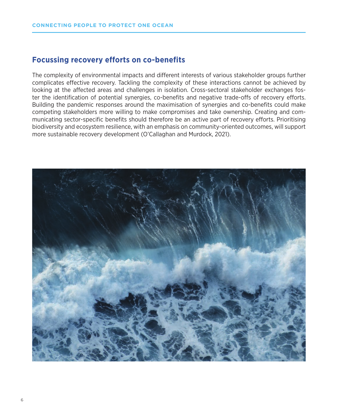### **Focussing recovery efforts on co-benefits**

The complexity of environmental impacts and different interests of various stakeholder groups further complicates effective recovery. Tackling the complexity of these interactions cannot be achieved by looking at the affected areas and challenges in isolation. Cross-sectoral stakeholder exchanges foster the identification of potential synergies, co-benefits and negative trade-offs of recovery efforts. Building the pandemic responses around the maximisation of synergies and co-benefits could make competing stakeholders more willing to make compromises and take ownership. Creating and communicating sector-specific benefits should therefore be an active part of recovery efforts. Prioritising biodiversity and ecosystem resilience, with an emphasis on community-oriented outcomes, will support more sustainable recovery development (O'Callaghan and Murdock, 2021).

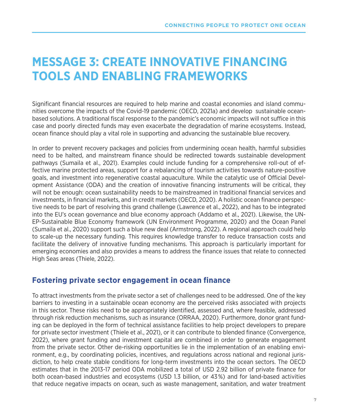### **MESSAGE 3: CREATE INNOVATIVE FINANCING TOOLS AND ENABLING FRAMEWORKS**

Significant financial resources are required to help marine and coastal economies and island communities overcome the impacts of the Covid-19 pandemic (OECD, 2021a) and develop sustainable oceanbased solutions. A traditional fiscal response to the pandemic's economic impacts will not suffice in this case and poorly directed funds may even exacerbate the degradation of marine ecosystems. Instead, ocean finance should play a vital role in supporting and advancing the sustainable blue recovery.

In order to prevent recovery packages and policies from undermining ocean health, harmful subsidies need to be halted, and mainstream finance should be redirected towards sustainable development pathways (Sumaila et al., 2021). Examples could include funding for a comprehensive roll-out of effective marine protected areas, support for a rebalancing of tourism activities towards nature-positive goals, and investment into regenerative coastal aquaculture. While the catalytic use of Official Development Assistance (ODA) and the creation of innovative financing instruments will be critical, they will not be enough: ocean sustainability needs to be mainstreamed in traditional financial services and investments, in financial markets, and in credit markets (OECD, 2020). A holistic ocean finance perspective needs to be part of resolving this grand challenge (Lawrence et al., 2022), and has to be integrated into the EU's ocean governance and blue economy approach (Addamo et al., 2021). Likewise, the UN-EP-Sustainable Blue Economy framework (UN Environment Programme, 2020) and the Ocean Panel (Sumaila et al., 2020) support such a blue new deal (Armstrong, 2022). A regional approach could help to scale-up the necessary funding. This requires knowledge transfer to reduce transaction costs and facilitate the delivery of innovative funding mechanisms. This approach is particularly important for emerging economies and also provides a means to address the finance issues that relate to connected High Seas areas (Thiele, 2022).

### **Fostering private sector engagement in ocean finance**

To attract investments from the private sector a set of challenges need to be addressed. One of the key barriers to investing in a sustainable ocean economy are the perceived risks associated with projects in this sector. These risks need to be appropriately identified, assessed and, where feasible, addressed through risk reduction mechanisms, such as insurance (ORRAA, 2020). Furthermore, donor grant funding can be deployed in the form of technical assistance facilities to help project developers to prepare for private sector investment (Thiele et al., 2021), or it can contribute to blended finance (Convergence, 2022), where grant funding and investment capital are combined in order to generate engagement from the private sector. Other de-risking opportunities lie in the implementation of an enabling environment, e.g., by coordinating policies, incentives, and regulations across national and regional jurisdiction, to help create stable conditions for long-term investments into the ocean sectors. The OECD estimates that in the 2013-17 period ODA mobilized a total of USD 2.92 billion of private finance for both ocean-based industries and ecosystems (USD 1.3 billion, or 43 %) and for land-based activities that reduce negative impacts on ocean, such as waste management, sanitation, and water treatment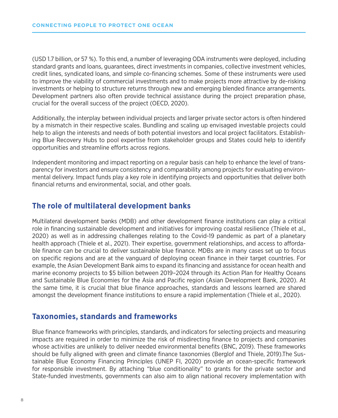(USD 1.7 billion, or 57  %). To this end, a number of leveraging ODA instruments were deployed, including standard grants and loans, guarantees, direct investments in companies, collective investment vehicles, credit lines, syndicated loans, and simple co-financing schemes. Some of these instruments were used to improve the viability of commercial investments and to make projects more attractive by de-risking investments or helping to structure returns through new and emerging blended finance arrangements. Development partners also often provide technical assistance during the project preparation phase, crucial for the overall success of the project (OECD, 2020).

Additionally, the interplay between individual projects and larger private sector actors is often hindered by a mismatch in their respective scales. Bundling and scaling up envisaged investable projects could help to align the interests and needs of both potential investors and local project facilitators. Establishing Blue Recovery Hubs to pool expertise from stakeholder groups and States could help to identify opportunities and streamline efforts across regions.

Independent monitoring and impact reporting on a regular basis can help to enhance the level of transparency for investors and ensure consistency and comparability among projects for evaluating environmental delivery. Impact funds play a key role in identifying projects and opportunities that deliver both financial returns and environmental, social, and other goals.

### **The role of multilateral development banks**

Multilateral development banks (MDB) and other development finance institutions can play a critical role in financing sustainable development and initiatives for improving coastal resilience (Thiele et al., 2020) as well as in addressing challenges relating to the Covid-19 pandemic as part of a planetary health approach (Thiele et al., 2021). Their expertise, government relationships, and access to affordable finance can be crucial to deliver sustainable blue finance. MDBs are in many cases set up to focus on specific regions and are at the vanguard of deploying ocean finance in their target countries. For example, the Asian Development Bank aims to expand its financing and assistance for ocean health and marine economy projects to \$5 billion between 2019–2024 through its Action Plan for Healthy Oceans and Sustainable Blue Economies for the Asia and Pacific region (Asian Development Bank, 2020). At the same time, it is crucial that blue finance approaches, standards and lessons learned are shared amongst the development finance institutions to ensure a rapid implementation (Thiele et al., 2020).

#### **Taxonomies, standards and frameworks**

Blue finance frameworks with principles, standards, and indicators for selecting projects and measuring impacts are required in order to minimize the risk of misdirecting finance to projects and companies whose activities are unlikely to deliver needed environmental benefits (BNC, 2019). These frameworks should be fully aligned with green and climate finance taxonomies (Berglof and Thiele, 2019).The Sustainable Blue Economy Financing Principles (UNEP FI, 2020) provide an ocean-specific framework for responsible investment. By attaching "blue conditionality" to grants for the private sector and State-funded investments, governments can also aim to align national recovery implementation with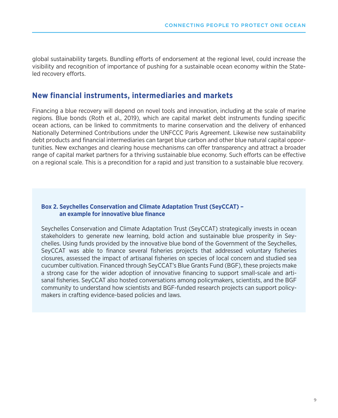global sustainability targets. Bundling efforts of endorsement at the regional level, could increase the visibility and recognition of importance of pushing for a sustainable ocean economy within the Stateled recovery efforts.

#### **New financial instruments, intermediaries and markets**

Financing a blue recovery will depend on novel tools and innovation, including at the scale of marine regions. Blue bonds (Roth et al., 2019), which are capital market debt instruments funding specific ocean actions, can be linked to commitments to marine conservation and the delivery of enhanced Nationally Determined Contributions under the UNFCCC Paris Agreement. Likewise new sustainability debt products and financial intermediaries can target blue carbon and other blue natural capital opportunities. New exchanges and clearing house mechanisms can offer transparency and attract a broader range of capital market partners for a thriving sustainable blue economy. Such efforts can be effective on a regional scale. This is a precondition for a rapid and just transition to a sustainable blue recovery.

#### **Box 2. Seychelles Conservation and Climate Adaptation Trust (SeyCCAT) – an example for innovative blue finance**

Seychelles Conservation and Climate Adaptation Trust (SeyCCAT) strategically invests in ocean stakeholders to generate new learning, bold action and sustainable blue prosperity in Seychelles. Using funds provided by the innovative blue bond of the Government of the Seychelles, SeyCCAT was able to finance several fisheries projects that addressed voluntary fisheries closures, assessed the impact of artisanal fisheries on species of local concern and studied sea cucumber cultivation. Financed through SeyCCAT's Blue Grants Fund (BGF), these projects make a strong case for the wider adoption of innovative financing to support small-scale and artisanal fisheries. SeyCCAT also hosted conversations among policymakers, scientists, and the BGF community to understand how scientists and BGF-funded research projects can support policymakers in crafting evidence-based policies and laws.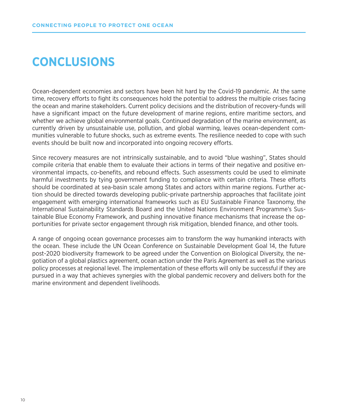### **CONCLUSIONS**

Ocean-dependent economies and sectors have been hit hard by the Covid-19 pandemic. At the same time, recovery efforts to fight its consequences hold the potential to address the multiple crises facing the ocean and marine stakeholders. Current policy decisions and the distribution of recovery-funds will have a significant impact on the future development of marine regions, entire maritime sectors, and whether we achieve global environmental goals. Continued degradation of the marine environment, as currently driven by unsustainable use, pollution, and global warming, leaves ocean-dependent communities vulnerable to future shocks, such as extreme events. The resilience needed to cope with such events should be built now and incorporated into ongoing recovery efforts.

Since recovery measures are not intrinsically sustainable, and to avoid "blue washing", States should compile criteria that enable them to evaluate their actions in terms of their negative and positive environmental impacts, co-benefits, and rebound effects. Such assessments could be used to eliminate harmful investments by tying government funding to compliance with certain criteria. These efforts should be coordinated at sea-basin scale among States and actors within marine regions. Further action should be directed towards developing public-private partnership approaches that facilitate joint engagement with emerging international frameworks such as EU Sustainable Finance Taxonomy, the International Sustainability Standards Board and the United Nations Environment Programme's Sustainable Blue Economy Framework, and pushing innovative finance mechanisms that increase the opportunities for private sector engagement through risk mitigation, blended finance, and other tools.

A range of ongoing ocean governance processes aim to transform the way humankind interacts with the ocean. These include the UN Ocean Conference on Sustainable Development Goal 14, the future post-2020 biodiversity framework to be agreed under the Convention on Biological Diversity, the negotiation of a global plastics agreement, ocean action under the Paris Agreement as well as the various policy processes at regional level. The implementation of these efforts will only be successful if they are pursued in a way that achieves synergies with the global pandemic recovery and delivers both for the marine environment and dependent livelihoods.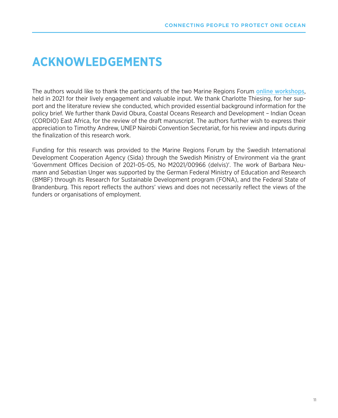### **ACKNOWLEDGEMENTS**

The authors would like to thank the participants of the two Marine Regions Forum [online workshops](https://www.prog-ocean.org/marine-regions-forum/workshops/), held in 2021 for their lively engagement and valuable input. We thank Charlotte Thiesing, for her support and the literature review she conducted, which provided essential background information for the policy brief. We further thank David Obura, Coastal Oceans Research and Development – Indian Ocean (CORDIO) East Africa, for the review of the draft manuscript. The authors further wish to express their appreciation to Timothy Andrew, UNEP Nairobi Convention Secretariat, for his review and inputs during the finalization of this research work.

Funding for this research was provided to the Marine Regions Forum by the Swedish International Development Cooperation Agency (Sida) through the Swedish Ministry of Environment via the grant 'Government Offices Decision of 2021-05-05, No M2021/00966 (delvis)'. The work of Barbara Neumann and Sebastian Unger was supported by the German Federal Ministry of Education and Research (BMBF) through its Research for Sustainable Development program (FONA), and the Federal State of Brandenburg. This report reflects the authors' views and does not necessarily reflect the views of the funders or organisations of employment.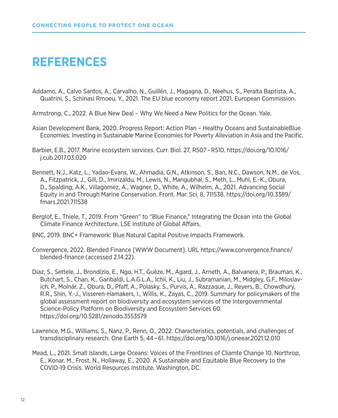### **REFERENCES**

Addamo, A., Calvo Santos, A., Carvalho, N., Guillén, J., Magagna, D., Neehus, S., Peralta Baptista, A., Quatrini, S., Schinasi Rmoeu, Y., 2021. The EU blue economy report 2021. European Commission.

Armstrong, C., 2022. A Blue New Deal – Why We Need a New Politics for the Ocean. Yale.

- Asian Development Bank, 2020. Progress Report: Action Plan Healthy Oceans and SustainableBlue Economies: Investing in Sustainable Marine Economies for Poverty Alleviation in Asia and the Pacific.
- Barbier, E.B., 2017. Marine ecosystem services. Curr. Biol. 27, R507 – R510. https://doi.org/10.1016/ j.cub.2017.03.020
- Bennett, N.J., Katz, L., Yadao-Evans, W., Ahmadia, G.N., Atkinson, S., Ban, N.C., Dawson, N.M., de Vos, A., Fitzpatrick, J., Gill, D., Imirizaldu, M., Lewis, N., Mangubhai, S., Meth, L., Muhl, E.-K., Obura, D., Spalding, A.K., Villagomez, A., Wagner, D., White, A., Wilhelm, A., 2021. Advancing Social Equity in and Through Marine Conservation. Front. Mar. Sci. 8, 711538. https://doi.org/10.3389/ fmars.2021.711538
- Berglof, E., Thiele, T., 2019. From "Green" to "Blue Finance," Integrating the Ocean into the Global Climate Finance Architecture. LSE Institute of Global Affairs.
- BNC, 2019. BNC+ Framework: Blue Natural Capital Positive Impacts Framework.
- Convergence, 2022. Blended Finance [WWW Document]. URL https://www.convergence.finance/ blended-finance (accessed 2.14.22).
- Diaz, S., Settele, J., Brondízio, E., Ngo, H.T., Guèze, M., Agard, J., Arneth, A., Balvanera, P., Brauman, K., Butchart, S., Chan, K., Garibaldi, L.A.G.L.A., Ichii, K., Liu, J., Subramanian, M., Midgley, G.F., Miloslavich, P., Molnár, Z., Obura, D., Pfaff, A., Polasky, S., Purvis, A., Razzaque, J., Reyers, B., Chowdhury, R.R., Shin, Y.-J., Visseren-Hamakers, I., Willis, K., Zayas, C., 2019. Summary for policymakers of the global assessment report on biodiversity and ecosystem services of the Intergovernmental Science-Policy Platform on Biodiversity and Ecosystem Services 60. https://doi.org/10.5281/zenodo.3553579
- Lawrence, M.G., Williams, S., Nanz, P., Renn, O., 2022. Characteristics, potentials, and challenges of transdisciplinary research. One Earth 5, 44 – 61. https://doi.org/10.1016/j.oneear.2021.12.010
- Mead, L., 2021. Small Islands, Large Oceans: Voices of the Frontlines of Cliamte Change 10. Northrop, E., Konar, M., Frost, N., Hollaway, E., 2020. A Sustainable and Equitable Blue Recovery to the COVID-19 Crisis. World Resources Institute, Washington, DC.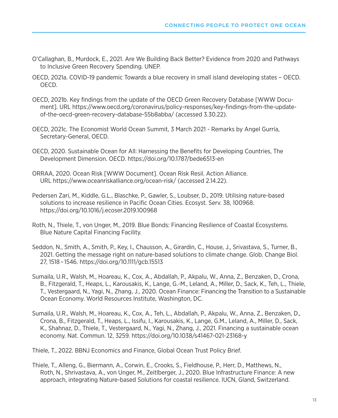- O'Callaghan, B., Murdock, E., 2021. Are We Building Back Better? Evidence from 2020 and Pathways to Inclusive Green Recovery Spending. UNEP.
- OECD, 2021a. COVID-19 pandemic Towards a blue recovery in small island developing states OECD. OECD.
- OECD, 2021b. Key findings from the update of the OECD Green Recovery Database [WWW Document]. URL https://www.oecd.org/coronavirus/policy-responses/key-findings-from-the-updateof-the-oecd-green-recovery-database-55b8abba/ (accessed 3.30.22).
- OECD, 2021c. The Economist World Ocean Summit, 3 March 2021 Remarks by Angel Gurría, Secretary-General, OECD.
- OECD, 2020. Sustainable Ocean for All: Harnessing the Benefits for Developing Countries, The Development Dimension. OECD. https://doi.org/10.1787/bede6513-en
- ORRAA, 2020. Ocean Risk [WWW Document]. Ocean Risk Resil. Action Alliance. URL https://www.oceanriskalliance.org/ocean-risk/ (accessed 2.14.22).
- Pedersen Zari, M., Kiddle, G.L., Blaschke, P., Gawler, S., Loubser, D., 2019. Utilising nature-based solutions to increase resilience in Pacific Ocean Cities. Ecosyst. Serv. 38, 100968. https://doi.org/10.1016/j.ecoser.2019.100968
- Roth, N., Thiele, T., von Unger, M., 2019. Blue Bonds: Financing Resilience of Coastal Ecosystems. Blue Nature Capital Financing Facility.
- Seddon, N., Smith, A., Smith, P., Key, I., Chausson, A., Girardin, C., House, J., Srivastava, S., Turner, B., 2021. Getting the message right on nature-based solutions to climate change. Glob. Change Biol. 27, 1518 – 1546. https://doi.org/10.1111/gcb.15513
- Sumaila, U.R., Walsh, M., Hoareau, K., Cox, A., Abdallah, P., Akpalu, W., Anna, Z., Benzaken, D., Crona, B., Fitzgerald, T., Heaps, L., Karousakis, K., Lange, G.-M., Leland, A., Miller, D., Sack, K., Teh, L., Thiele, T., Vestergaard, N., Yagi, N., Zhang, J., 2020. Ocean Finance: Financing the Transition to a Sustainable Ocean Economy. World Resources Institute, Washington, DC.
- Sumaila, U.R., Walsh, M., Hoareau, K., Cox, A., Teh, L., Abdallah, P., Akpalu, W., Anna, Z., Benzaken, D., Crona, B., Fitzgerald, T., Heaps, L., Issifu, I., Karousakis, K., Lange, G.M., Leland, A., Miller, D., Sack, K., Shahnaz, D., Thiele, T., Vestergaard, N., Yagi, N., Zhang, J., 2021. Financing a sustainable ocean economy. Nat. Commun. 12, 3259. https://doi.org/10.1038/s41467-021-23168-y

Thiele, T., 2022. BBNJ Economics and Finance, Global Ocean Trust Policy Brief.

Thiele, T., Alleng, G., Biermann, A., Corwin, E., Crooks, S., Fieldhouse, P., Herr, D., Matthews, N., Roth, N., Shrivastava, A., von Unger, M., Zeitlberger, J., 2020. Blue Infrastructure Finance: A new approach, integrating Nature-based Solutions for coastal resilience. IUCN, Gland, Switzerland.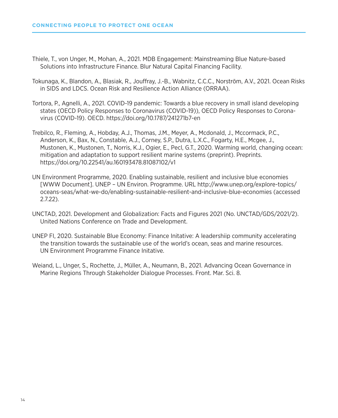- Thiele, T., von Unger, M., Mohan, A., 2021. MDB Engagement: Mainstreaming Blue Nature-based Solutions into Infrastructure Finance. Blur Natural Capital Financing Facility.
- Tokunaga, K., Blandon, A., Blasiak, R., Jouffray, J.-B., Wabnitz, C.C.C., Norström, A.V., 2021. Ocean Risks in SIDS and LDCS. Ocean Risk and Resilience Action Alliance (ORRAA).
- Tortora, P., Agnelli, A., 2021. COVID-19 pandemic: Towards a blue recovery in small island developing states (OECD Policy Responses to Coronavirus (COVID-19)), OECD Policy Responses to Coronavirus (COVID-19). OECD. https://doi.org/10.1787/241271b7-en
- Trebilco, R., Fleming, A., Hobday, A.J., Thomas, J.M., Meyer, A., Mcdonald, J., Mccormack, P.C., Anderson, K., Bax, N., Constable, A.J., Corney, S.P., Dutra, L.X.C., Fogarty, H.E., Mcgee, J., Mustonen, K., Mustonen, T., Norris, K.J., Ogier, E., Pecl, G.T., 2020. Warming world, changing ocean: mitigation and adaptation to support resilient marine systems (preprint). Preprints. https://doi.org/10.22541/au.160193478.81087102/v1
- UN Environment Programme, 2020. Enabling sustainable, resilient and inclusive blue economies [WWW Document]. UNEP – UN Environ. Programme. URL http://www.unep.org/explore-topics/ oceans-seas/what-we-do/enabling-sustainable-resilient-and-inclusive-blue-economies (accessed 2.7.22).
- UNCTAD, 2021. Development and Globalization: Facts and Figures 2021 (No. UNCTAD/GDS/2021/2). United Nations Conference on Trade and Development.
- UNEP FI, 2020. Sustainable Blue Economy: Finance Initative: A leadershiip community accelerating the transition towards the sustainable use of the world's ocean, seas and marine resources. UN Environment Programme Finance Initative.
- Weiand, L., Unger, S., Rochette, J., Müller, A., Neumann, B., 2021. Advancing Ocean Governance in Marine Regions Through Stakeholder Dialogue Processes. Front. Mar. Sci. 8.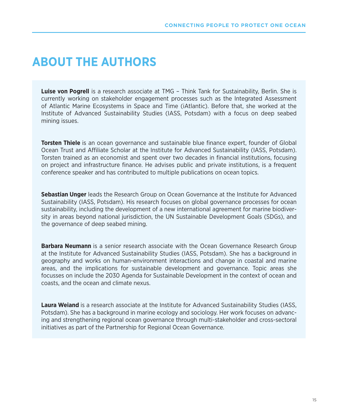### **ABOUT THE AUTHORS**

**Luise von Pogrell** is a research associate at TMG – Think Tank for Sustainability, Berlin. She is currently working on stakeholder engagement processes such as the Integrated Assessment of Atlantic Marine Ecosystems in Space and Time (iAtlantic). Before that, she worked at the Institute of Advanced Sustainability Studies (IASS, Potsdam) with a focus on deep seabed mining issues.

**Torsten Thiele** is an ocean governance and sustainable blue finance expert, founder of Global Ocean Trust and Affiliate Scholar at the Institute for Advanced Sustainability (IASS, Potsdam). Torsten trained as an economist and spent over two decades in financial institutions, focusing on project and infrastructure finance. He advises public and private institutions, is a frequent conference speaker and has contributed to multiple publications on ocean topics.

**Sebastian Unger** leads the Research Group on Ocean Governance at the Institute for Advanced Sustainability (IASS, Potsdam). His research focuses on global governance processes for ocean sustainability, including the development of a new international agreement for marine biodiversity in areas beyond national jurisdiction, the UN Sustainable Development Goals (SDGs), and the governance of deep seabed mining.

**Barbara Neumann** is a senior research associate with the Ocean Governance Research Group at the Institute for Advanced Sustainability Studies (IASS, Potsdam). She has a background in geography and works on human-environment interactions and change in coastal and marine areas, and the implications for sustainable development and governance. Topic areas she focusses on include the 2030 Agenda for Sustainable Development in the context of ocean and coasts, and the ocean and climate nexus.

**Laura Weiand** is a research associate at the Institute for Advanced Sustainability Studies (IASS, Potsdam). She has a background in marine ecology and sociology. Her work focuses on advancing and strengthening regional ocean governance through multi-stakeholder and cross-sectoral initiatives as part of the Partnership for Regional Ocean Governance.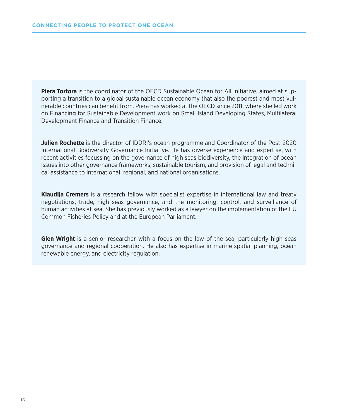**Piera Tortora** is the coordinator of the OECD Sustainable Ocean for All Initiative, aimed at supporting a transition to a global sustainable ocean economy that also the poorest and most vulnerable countries can benefit from. Piera has worked at the OECD since 2011, where she led work on Financing for Sustainable Development work on Small Island Developing States, Multilateral Development Finance and Transition Finance.

**Julien Rochette** is the director of IDDRI's ocean programme and Coordinator of the Post-2020 International Biodiversity Governance Initiative. He has diverse experience and expertise, with recent activities focussing on the governance of high seas biodiversity, the integration of ocean issues into other governance frameworks, sustainable tourism, and provision of legal and technical assistance to international, regional, and national organisations.

**Klaudija Cremers** is a research fellow with specialist expertise in international law and treaty negotiations, trade, high seas governance, and the monitoring, control, and surveillance of human activities at sea. She has previously worked as a lawyer on the implementation of the EU Common Fisheries Policy and at the European Parliament.

**Glen Wright** is a senior researcher with a focus on the law of the sea, particularly high seas governance and regional cooperation. He also has expertise in marine spatial planning, ocean renewable energy, and electricity regulation.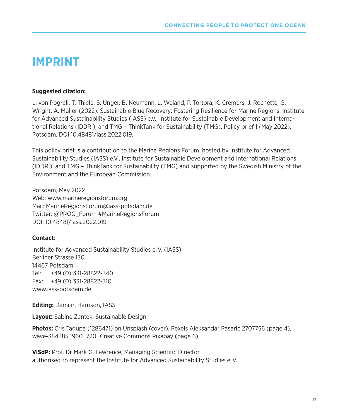### **IMPRINT**

#### **Suggested citation:**

L. von Pogrell, T. Thiele, S. Unger, B. Neumann, L. Weiand, P. Tortora, K. Cremers, J. Rochette, G. Wright, A. Müller (2022). Sustainable Blue Recovery: Fostering Resilience for Marine Regions. Institute for Advanced Sustainability Studies (IASS) e.V., Institute for Sustainable Development and International Relations (IDDRI), and TMG – ThinkTank for Sustainability (TMG). Policy brief 1 (May 2022), Potsdam. DOI 10.48481/iass.2022.019.

This policy brief is a contribution to the Marine Regions Forum, hosted by Institute for Advanced Sustainability Studies (IASS) e.V., Institute for Sustainable Development and International Relations (IDDRI), and TMG – ThinkTank for Sustainability (TMG) and supported by the Swedish Ministry of the Environment and the European Commission.

Potsdam, May 2022 Web: www.marineregionsforum.org Mail: MarineRegionsForum@iass-potsdam.de Twitter: @PROG\_Forum #MarineRegionsForum DOI: 10.48481/iass.2022.019

#### **Contact:**

Institute for Advanced Sustainability Studies e. V. (IASS) Berliner Strasse 130 14467 Potsdam Tel: +49 (0) 331-28822-340 Fax: +49 (0) 331-28822-310 www.iass-potsdam.de

**Editing:** Damian Harrison, IASS

**Layout:** Sabine Zentek, Sustainable Design

**Photos:** Cris Tagupa (1286471) on Unsplash (cover), Pexels Aleksandar Pasaric 2707756 (page 4), wave-384385\_960\_720\_Creative Commons Pixabay (page 6)

**ViSdP:** Prof. Dr Mark G. Lawrence, Managing Scientific Director authorised to represent the Institute for Advanced Sustainability Studies e. V.